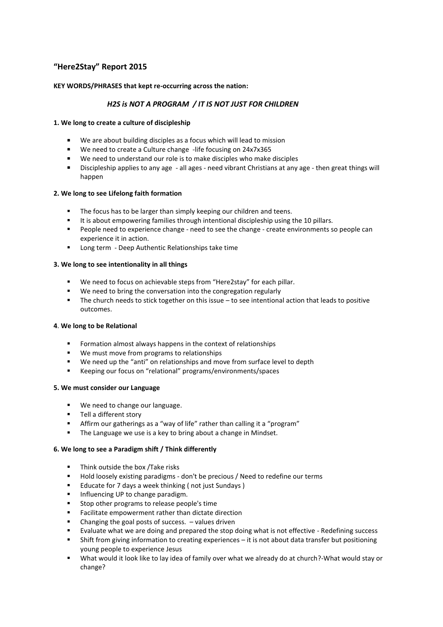# **"Here2Stay" Report 2015**

# **KEY WORDS/PHRASES that kept re-occurring across the nation:**

# *H2S is NOT A PROGRAM / IT IS NOT JUST FOR CHILDREN*

## **1. We long to create a culture of discipleship**

- We are about building disciples as a focus which will lead to mission
- We need to create a Culture change -life focusing on 24x7x365
- We need to understand our role is to make disciples who make disciples
- Discipleship applies to any age all ages need vibrant Christians at any age then great things will happen

## **2. We long to see Lifelong faith formation**

- The focus has to be larger than simply keeping our children and teens.
- It is about empowering families through intentional discipleship using the 10 pillars.
- **People need to experience change need to see the change create environments so people can** experience it in action.
- **Long term Deep Authentic Relationships take time**

## **3. We long to see intentionality in all things**

- We need to focus on achievable steps from "Here2stay" for each pillar.
- We need to bring the conversation into the congregation regularly
- The church needs to stick together on this issue to see intentional action that leads to positive outcomes.

## **4**. **We long to be Relational**

- Formation almost always happens in the context of relationships
- We must move from programs to relationships
- We need up the "anti" on relationships and move from surface level to depth
- Keeping our focus on "relational" programs/environments/spaces

## **5. We must consider our Language**

- We need to change our language.
- **Tell a different story**
- Affirm our gatherings as a "way of life" rather than calling it a "program"
- The Language we use is a key to bring about a change in Mindset.

## **6. We long to see a Paradigm shift / Think differently**

- **Think outside the box /Take risks**
- Hold loosely existing paradigms don't be precious / Need to redefine our terms
- **Educate for 7 days a week thinking (not just Sundays)**
- **Influencing UP to change paradigm.**
- Stop other programs to release people's time
- Facilitate empowerment rather than dictate direction
- Changing the goal posts of success. values driven
- Evaluate what we are doing and prepared the stop doing what is not effective Redefining success
- Shift from giving information to creating experiences it is not about data transfer but positioning young people to experience Jesus
- What would it look like to lay idea of family over what we already do at church?-What would stay or change?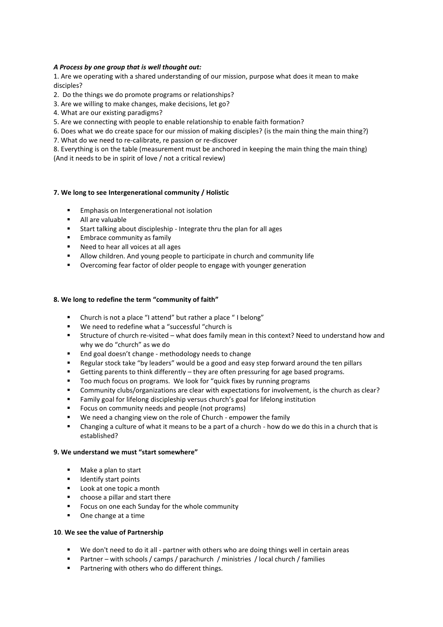# *A Process by one group that is well thought out:*

1. Are we operating with a shared understanding of our mission, purpose what does it mean to make disciples?

- 2. Do the things we do promote programs or relationships?
- 3. Are we willing to make changes, make decisions, let go?
- 4. What are our existing paradigms?
- 5. Are we connecting with people to enable relationship to enable faith formation?
- 6. Does what we do create space for our mission of making disciples? (is the main thing the main thing?)
- 7. What do we need to re-calibrate, re passion or re-discover

8. Everything is on the table (measurement must be anchored in keeping the main thing the main thing) (And it needs to be in spirit of love / not a critical review)

## **7. We long to see Intergenerational community / Holistic**

- **Emphasis on Intergenerational not isolation**
- **All are valuable**
- Start talking about discipleship Integrate thru the plan for all ages
- **Embrace community as family**
- Need to hear all voices at all ages
- Allow children. And young people to participate in church and community life
- Overcoming fear factor of older people to engage with younger generation

## **8. We long to redefine the term "community of faith"**

- Church is not a place "I attend" but rather a place " I belong"
- We need to redefine what a "successful "church is
- Structure of church re-visited what does family mean in this context? Need to understand how and why we do "church" as we do
- End goal doesn't change methodology needs to change
- Regular stock take "by leaders" would be a good and easy step forward around the ten pillars
- Getting parents to think differently they are often pressuring for age based programs.
- Too much focus on programs. We look for "quick fixes by running programs
- Community clubs/organizations are clear with expectations for involvement, is the church as clear?
- Family goal for lifelong discipleship versus church's goal for lifelong institution
- Focus on community needs and people (not programs)
- We need a changing view on the role of Church empower the family
- Changing a culture of what it means to be a part of a church how do we do this in a church that is established?

## **9. We understand we must "start somewhere"**

- **Make a plan to start**
- **IDENTIFY Start points**
- Look at one topic a month
- choose a pillar and start there
- **FICUM** Focus on one each Sunday for the whole community
- One change at a time

## **10**. **We see the value of Partnership**

- We don't need to do it all partner with others who are doing things well in certain areas
- Partner with schools / camps / parachurch / ministries / local church / families
- **Partnering with others who do different things.**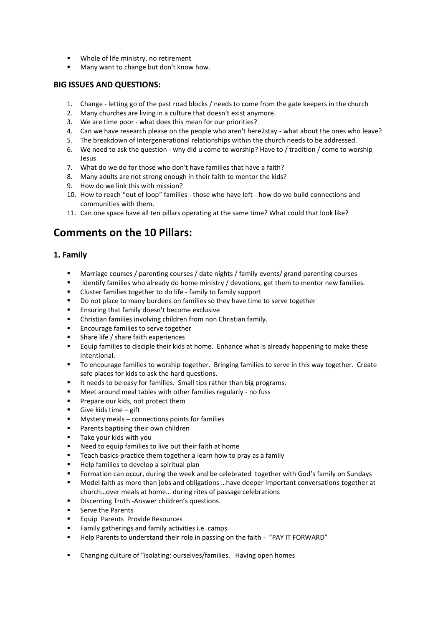- **Whole of life ministry, no retirement**
- **Many want to change but don't know how.**

# **BIG ISSUES AND QUESTIONS:**

- 1. Change letting go of the past road blocks / needs to come from the gate keepers in the church
- 2. Many churches are living in a culture that doesn't exist anymore.
- 3. We are time poor what does this mean for our priorities?
- 4. Can we have research please on the people who aren't here2stay what about the ones who leave?
- 5. The breakdown of Intergenerational relationships within the church needs to be addressed.
- 6. We need to ask the question why did u come to worship? Have to / tradition / come to worship Jesus
- 7. What do we do for those who don't have families that have a faith?
- 8. Many adults are not strong enough in their faith to mentor the kids?
- 9. How do we link this with mission?
- 10. How to reach "out of loop" families those who have left how do we build connections and communities with them.
- 11. Can one space have all ten pillars operating at the same time? What could that look like?

# **Comments on the 10 Pillars:**

# **1. Family**

- Marriage courses / parenting courses / date nights / family events/ grand parenting courses
- Identify families who already do home ministry / devotions, get them to mentor new families.
- Cluster families together to do life family to family support
- Do not place to many burdens on families so they have time to serve together
- **Ensuring that family doesn't become exclusive**
- Christian families involving children from non Christian family.
- **Encourage families to serve together**
- **Share life / share faith experiences**
- Equip families to disciple their kids at home. Enhance what is already happening to make these intentional.
- To encourage families to worship together. Bringing families to serve in this way together. Create safe places for kids to ask the hard questions.
- It needs to be easy for families. Small tips rather than big programs.
- Meet around meal tables with other families regularly no fuss
- **Prepare our kids, not protect them**
- Give kids time gift
- Mystery meals connections points for families
- **Parents baptising their own children**
- **Take your kids with you**
- Need to equip families to live out their faith at home
- Teach basics-practice them together a learn how to pray as a family
- Help families to develop a spiritual plan
- **Formation can occur, during the week and be celebrated together with God's family on Sundays**
- Model faith as more than jobs and obligations …have deeper important conversations together at church…over meals at home… during rites of passage celebrations
- **Discerning Truth -Answer children's questions.**
- Serve the Parents
- Equip Parents Provide Resources
- **Family gatherings and family activities i.e. camps**
- Help Parents to understand their role in passing on the faith "PAY IT FORWARD"
- Changing culture of "isolating: ourselves/families. Having open homes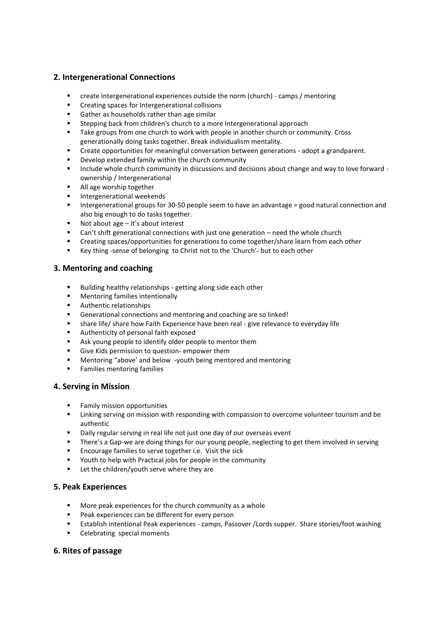# **2. Intergenerational Connections**

- create Intergenerational experiences outside the norm (church) camps / mentoring
- **EXECTE Creating spaces for Intergenerational collisions**
- Gather as households rather than age similar
- Stepping back from children's church to a more Intergenerational approach
- **Take groups from one church to work with people in another church or community. Cross** generationally doing tasks together. Break individualism mentality.
- Create opportunities for meaningful conversation between generations adopt a grandparent.
- Develop extended family within the church community
- Include whole church community in discussions and decisions about change and way to love forward ownership / Intergenerational
- All age worship together
- **Intergenerational weekends**
- Intergenerational groups for 30-50 people seem to have an advantage = good natural connection and also big enough to do tasks together.
- Not about age it's about interest
- Can't shift generational connections with just one generation need the whole church
- Creating spaces/opportunities for generations to come together/share learn from each other
- Key thing -sense of belonging to Christ not to the 'Church'- but to each other

# **3. Mentoring and coaching**

- Building healthy relationships getting along side each other
- **EXECUTE:** Mentoring families intentionally
- **Authentic relationships**
- Generational connections and mentoring and coaching are so linked!
- share life/ share how Faith Experience have been real give relevance to everyday life
- Authenticity of personal faith exposed
- Ask young people to identify older people to mentor them
- Give Kids permission to question- empower them
- Mentoring "above' and below -youth being mentored and mentoring
- **Families mentoring families**

# **4. Serving in Mission**

- Family mission opportunities
- Linking serving on mission with responding with compassion to overcome volunteer tourism and be authentic
- Daily regular serving in real life not just one day of our overseas event
- **There's a Gap-we are doing things for our young people, neglecting to get them involved in serving**
- **Encourage families to serve together i.e. Visit the sick**
- Youth to help with Practical jobs for people in the community
- Let the children/youth serve where they are

# **5. Peak Experiences**

- **More peak experiences for the church community as a whole**
- **Peak experiences can be different for every person**
- Establish intentional Peak experiences camps, Passover /Lords supper. Share stories/foot washing
- Celebrating special moments

# **6. Rites of passage**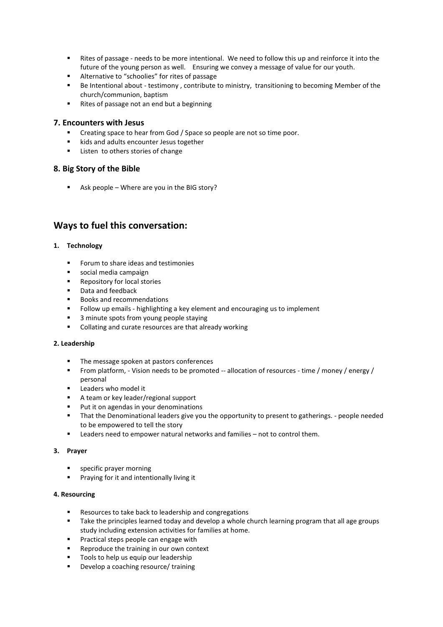- Rites of passage needs to be more intentional. We need to follow this up and reinforce it into the future of the young person as well. Ensuring we convey a message of value for our youth.
- **Alternative to "schoolies" for rites of passage**
- **Be Intentional about testimony, contribute to ministry, transitioning to becoming Member of the** church/communion, baptism
- Rites of passage not an end but a beginning

# **7. Encounters with Jesus**

- Creating space to hear from God / Space so people are not so time poor.
- kids and adults encounter Jesus together
- **EXECUTE:** Listen to others stories of change

# **8. Big Story of the Bible**

Ask people – Where are you in the BIG story?

# **Ways to fuel this conversation:**

# **1. Technology**

- **Forum to share ideas and testimonies**
- social media campaign
- **Repository for local stories**
- **Data and feedback**
- Books and recommendations
- **Follow up emails highlighting a key element and encouraging us to implement**
- 3 minute spots from young people staying
- **•** Collating and curate resources are that already working

## **2. Leadership**

- The message spoken at pastors conferences
- From platform, Vision needs to be promoted -- allocation of resources time / money / energy / personal
- **Leaders who model it**
- A team or key leader/regional support
- **Put it on agendas in your denominations**
- That the Denominational leaders give you the opportunity to present to gatherings. people needed to be empowered to tell the story
- Leaders need to empower natural networks and families not to control them.

## **3. Prayer**

- specific prayer morning
- **Praying for it and intentionally living it**

## **4. Resourcing**

- Resources to take back to leadership and congregations
- **Take the principles learned today and develop a whole church learning program that all age groups** study including extension activities for families at home.
- **Practical steps people can engage with**
- **Reproduce the training in our own context**
- **Tools to help us equip our leadership**
- Develop a coaching resource/ training